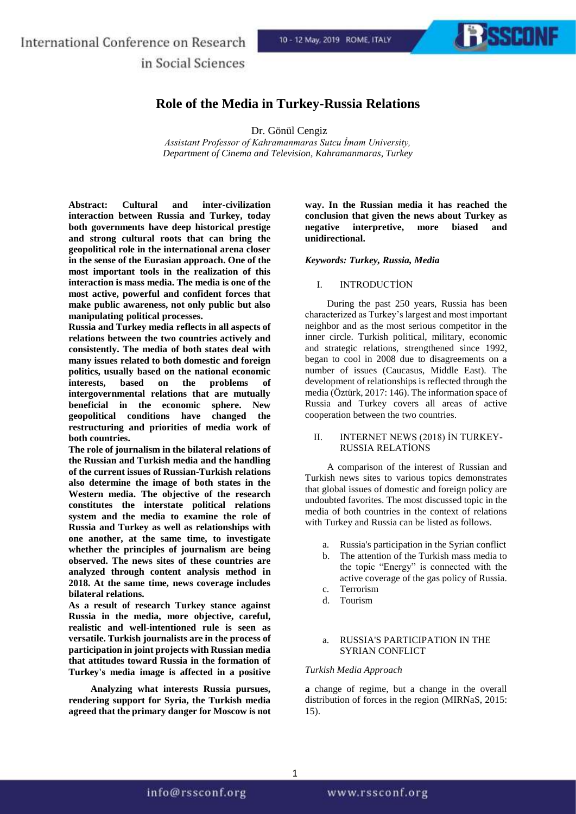## International Conference on Research in Social Sciences

**EXSSCONF** 

### **Role of the Media in Turkey-Russia Relations**

Dr. Gönül Cengiz

*Assistant Professor of Kahramanmaras Sutcu İmam University, Department of Cinema and Television, Kahramanmaras, Turkey*

**Abstract: Cultural and inter-civilization interaction between Russia and Turkey, today both governments have deep historical prestige and strong cultural roots that can bring the geopolitical role in the international arena closer in the sense of the Eurasian approach. One of the most important tools in the realization of this interaction is mass media. The media is one of the most active, powerful and confident forces that make public awareness, not only public but also manipulating political processes.**

**Russia and Turkey media reflects in all aspects of relations between the two countries actively and consistently. The media of both states deal with many issues related to both domestic and foreign politics, usually based on the national economic interests, based on the problems of intergovernmental relations that are mutually beneficial in the economic sphere. New geopolitical conditions have changed the restructuring and priorities of media work of both countries.**

**The role of journalism in the bilateral relations of the Russian and Turkish media and the handling of the current issues of Russian-Turkish relations also determine the image of both states in the Western media. The objective of the research constitutes the interstate political relations system and the media to examine the role of Russia and Turkey as well as relationships with one another, at the same time, to investigate whether the principles of journalism are being observed. The news sites of these countries are analyzed through content analysis method in 2018. At the same time, news coverage includes bilateral relations.**

**As a result of research Turkey stance against Russia in the media, more objective, careful, realistic and well-intentioned rule is seen as versatile. Turkish journalists are in the process of participation in joint projects with Russian media that attitudes toward Russia in the formation of Turkey's media image is affected in a positive** 

**Analyzing what interests Russia pursues, rendering support for Syria, the Turkish media agreed that the primary danger for Moscow is not** 

**way. In the Russian media it has reached the conclusion that given the news about Turkey as negative interpretive, more biased and unidirectional.**

#### *Keywords: Turkey, Russia, Media*

#### I. INTRODUCTİON

During the past 250 years, Russia has been characterized as Turkey's largest and most important neighbor and as the most serious competitor in the inner circle. Turkish political, military, economic and strategic relations, strengthened since 1992, began to cool in 2008 due to disagreements on a number of issues (Caucasus, Middle East). The development of relationships is reflected through the media (Öztürk, 2017: 146). The information space of Russia and Turkey covers all areas of active cooperation between the two countries.

#### II. INTERNET NEWS (2018) İN TURKEY-RUSSIA RELATİONS

A comparison of the interest of Russian and Turkish news sites to various topics demonstrates that global issues of domestic and foreign policy are undoubted favorites. The most discussed topic in the media of both countries in the context of relations with Turkey and Russia can be listed as follows.

- a. Russia's participation in the Syrian conflict
- b. The attention of the Turkish mass media to the topic "Energy" is connected with the active coverage of the gas policy of Russia. c. Terrorism
- d. Tourism
- 

#### a. RUSSIA'S PARTICIPATION IN THE SYRIAN CONFLICT

#### *Turkish Media Approach*

**a** change of regime, but a change in the overall distribution of forces in the region (MIRNaS, 2015: 15).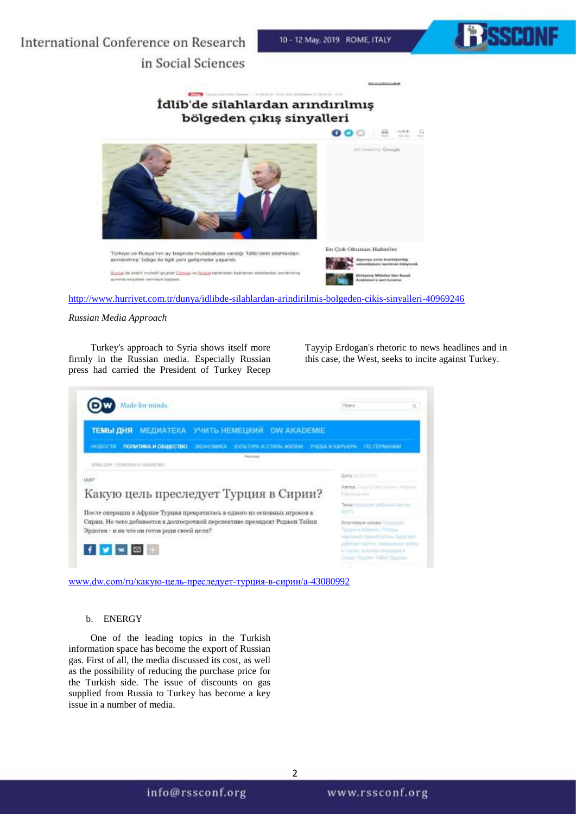

# International Conference on Research in Social Sciences



<http://www.hurriyet.com.tr/dunya/idlibde-silahlardan-arindirilmis-bolgeden-cikis-sinyalleri-40969246>

#### *Russian Media Approach*

Turkey's approach to Syria shows itself more firmly in the Russian media. Especially Russian press had carried the President of Turkey Recep

Tayyip Erdogan's rhetoric to news headlines and in this case, the West, seeks to incite against Turkey.



#### b. ENERGY

One of the leading topics in the Turkish information space has become the export of Russian gas. First of all, the media discussed its cost, as well as the possibility of reducing the purchase price for the Turkish side. The issue of discounts on gas supplied from Russia to Turkey has become a key issue in a number of media.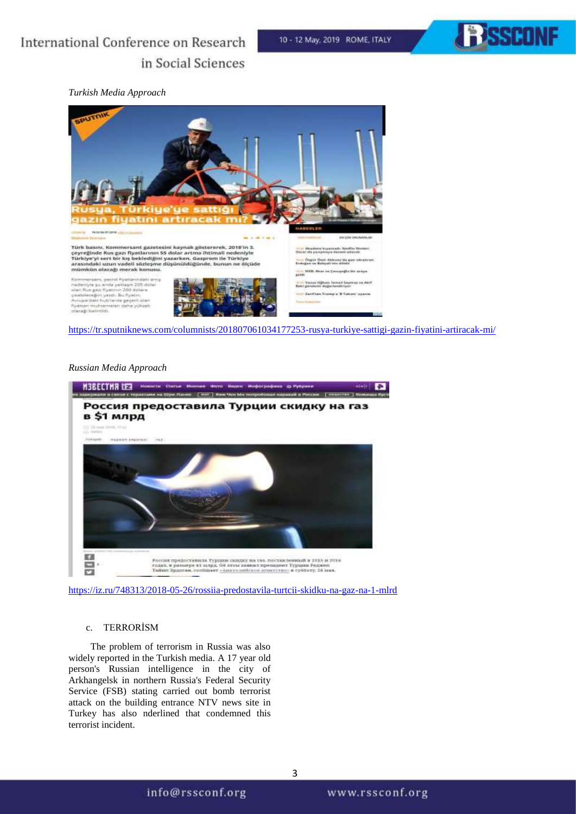

# International Conference on Research in Social Sciences

#### *Turkish Media Approach*



#### <https://tr.sputniknews.com/columnists/201807061034177253-rusya-turkiye-sattigi-gazin-fiyatini-artiracak-mi/>

#### *Russian Media Approach*



<https://iz.ru/748313/2018-05-26/rossiia-predostavila-turtcii-skidku-na-gaz-na-1-mlrd>

#### c. TERRORİSM

The problem of terrorism in Russia was also widely reported in the Turkish media. A 17 year old person's Russian intelligence in the city of Arkhangelsk in northern Russia's Federal Security Service (FSB) stating carried out bomb terrorist attack on the building entrance NTV news site in Turkey has also nderlined that condemned this terrorist incident.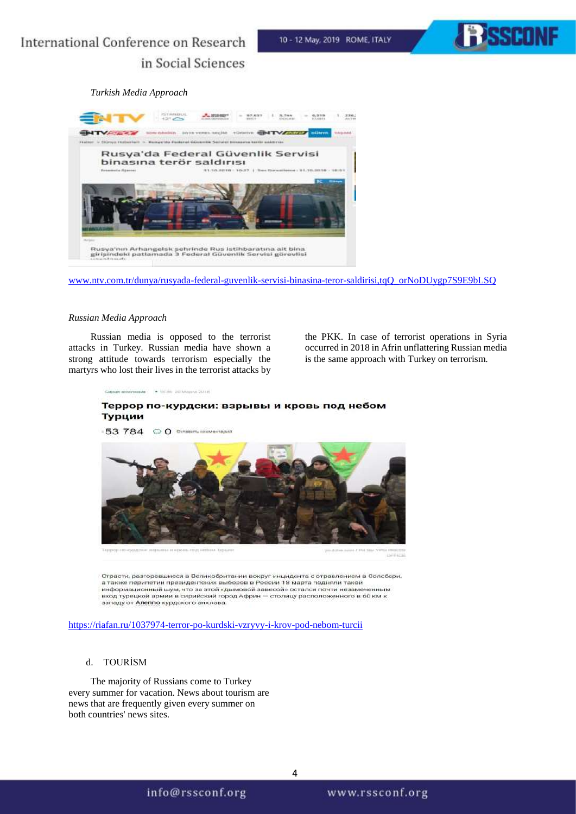10 - 12 May, 2019 ROME, ITALY



# *Turkish Media Approach*



[www.ntv.com.tr/dunya/rusyada-federal-guvenlik-servisi-binasina-teror-saldirisi,tqQ\\_orNoDUygp7S9E9bLSQ](http://www.ntv.com.tr/dunya/rusyada-federal-guvenlik-servisi-binasina-teror-saldirisi,tqQ_orNoDUygp7S9E9bLSQ)

#### *Russian Media Approach*

Russian media is opposed to the terrorist attacks in Turkey. Russian media have shown a strong attitude towards terrorism especially the martyrs who lost their lives in the terrorist attacks by the PKK. In case of terrorist operations in Syria occurred in 2018 in Afrin unflattering Russian media is the same approach with Turkey on terrorism.

A SHINE 207 ERAILLE 2012.5

### Террор по-курдски: взрывы и кровь под небом Турции



Страсти, разгоревшиеся в Великобритании вокруг инцидента с отравлением в Солсбери, а также перипетии президентских выборов в России 18 марта подняли такой<br>информационный шум, что за этой «дымовой завесой» остался почти незамеченным вход турецкой армии в сирийский город Африн - столицу расположенного в 60 км западу от Алеппо курдского анклава.

<https://riafan.ru/1037974-terror-po-kurdski-vzryvy-i-krov-pod-nebom-turcii>

#### d. TOURİSM

The majority of Russians come to Turkey every summer for vacation. News about tourism are news that are frequently given every summer on both countries' news sites.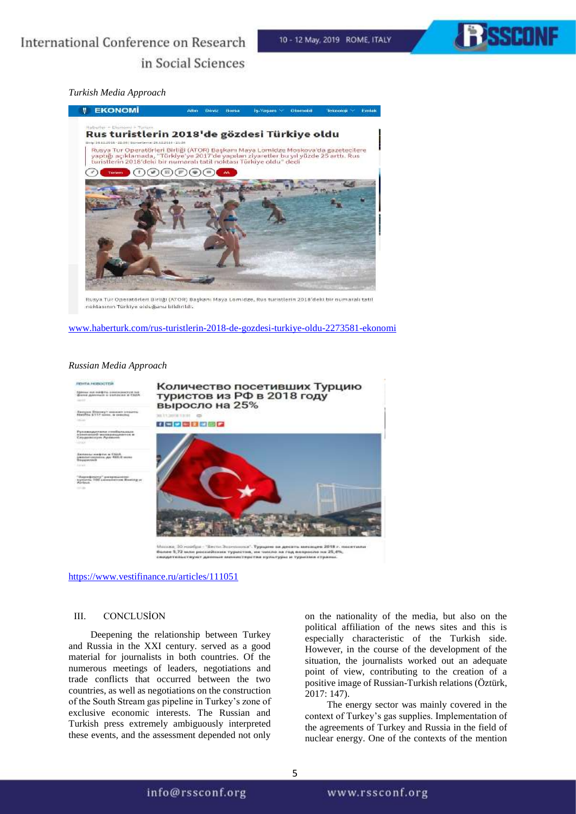

#### *Turkish Media Approach*



Rusya Tur Operatörleri Birliği (ATOR) Başkanı Maya Lomidze, Rus turistlerin 2018'deki bir numaralı tatil noktasının Türkiye olduğunu bildirildi.

[www.haberturk.com/rus-turistlerin-2018-de-gozdesi-turkiye-oldu-2273581-ekonomi](http://www.haberturk.com/rus-turistlerin-2018-de-gozdesi-turkiye-oldu-2273581-ekonomi)

#### *Russian Media Approach*



<https://www.vestifinance.ru/articles/111051>

#### III. CONCLUSİON

Deepening the relationship between Turkey and Russia in the XXI century. served as a good material for journalists in both countries. Of the numerous meetings of leaders, negotiations and trade conflicts that occurred between the two countries, as well as negotiations on the construction of the South Stream gas pipeline in Turkey's zone of exclusive economic interests. The Russian and Turkish press extremely ambiguously interpreted these events, and the assessment depended not only

on the nationality of the media, but also on the political affiliation of the news sites and this is especially characteristic of the Turkish side. However, in the course of the development of the situation, the journalists worked out an adequate point of view, contributing to the creation of a positive image of Russian-Turkish relations (Öztürk, 2017: 147).

The energy sector was mainly covered in the context of Turkey's gas supplies. Implementation of the agreements of Turkey and Russia in the field of nuclear energy. One of the contexts of the mention